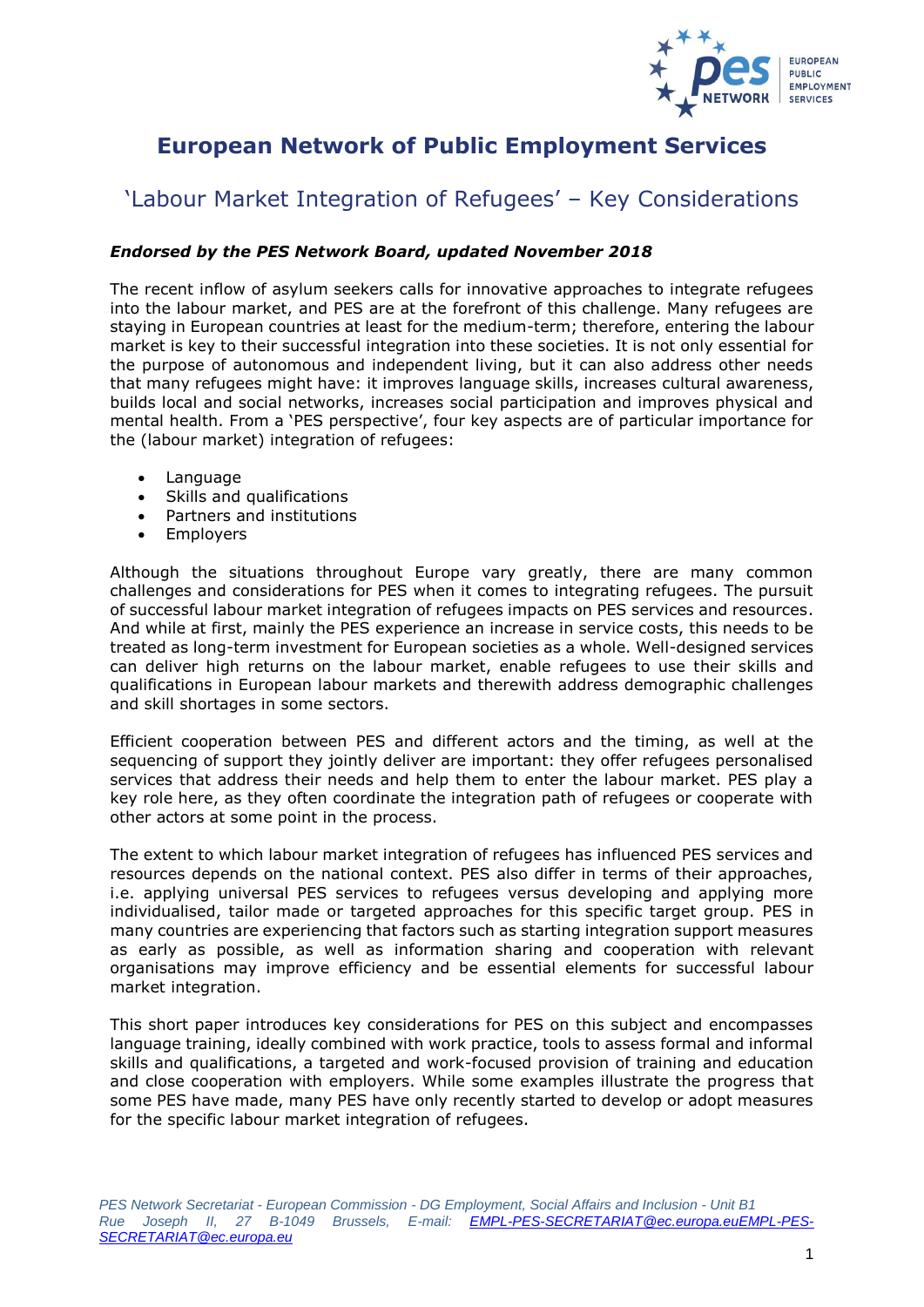

# **European Network of Public Employment Services**

# 'Labour Market Integration of Refugees' – Key Considerations

### *Endorsed by the PES Network Board, updated November 2018*

The recent inflow of asylum seekers calls for innovative approaches to integrate refugees into the labour market, and PES are at the forefront of this challenge. Many refugees are staying in European countries at least for the medium-term; therefore, entering the labour market is key to their successful integration into these societies. It is not only essential for the purpose of autonomous and independent living, but it can also address other needs that many refugees might have: it improves language skills, increases cultural awareness, builds local and social networks, increases social participation and improves physical and mental health. From a 'PES perspective', four key aspects are of particular importance for the (labour market) integration of refugees:

- Language
- Skills and qualifications
- Partners and institutions
- Employers

Although the situations throughout Europe vary greatly, there are many common challenges and considerations for PES when it comes to integrating refugees. The pursuit of successful labour market integration of refugees impacts on PES services and resources. And while at first, mainly the PES experience an increase in service costs, this needs to be treated as long-term investment for European societies as a whole. Well-designed services can deliver high returns on the labour market, enable refugees to use their skills and qualifications in European labour markets and therewith address demographic challenges and skill shortages in some sectors.

Efficient cooperation between PES and different actors and the timing, as well at the sequencing of support they jointly deliver are important: they offer refugees personalised services that address their needs and help them to enter the labour market. PES play a key role here, as they often coordinate the integration path of refugees or cooperate with other actors at some point in the process.

The extent to which labour market integration of refugees has influenced PES services and resources depends on the national context. PES also differ in terms of their approaches, i.e. applying universal PES services to refugees versus developing and applying more individualised, tailor made or targeted approaches for this specific target group. PES in many countries are experiencing that factors such as starting integration support measures as early as possible, as well as information sharing and cooperation with relevant organisations may improve efficiency and be essential elements for successful labour market integration.

This short paper introduces key considerations for PES on this subject and encompasses language training, ideally combined with work practice, tools to assess formal and informal skills and qualifications, a targeted and work-focused provision of training and education and close cooperation with employers. While some examples illustrate the progress that some PES have made, many PES have only recently started to develop or adopt measures for the specific labour market integration of refugees.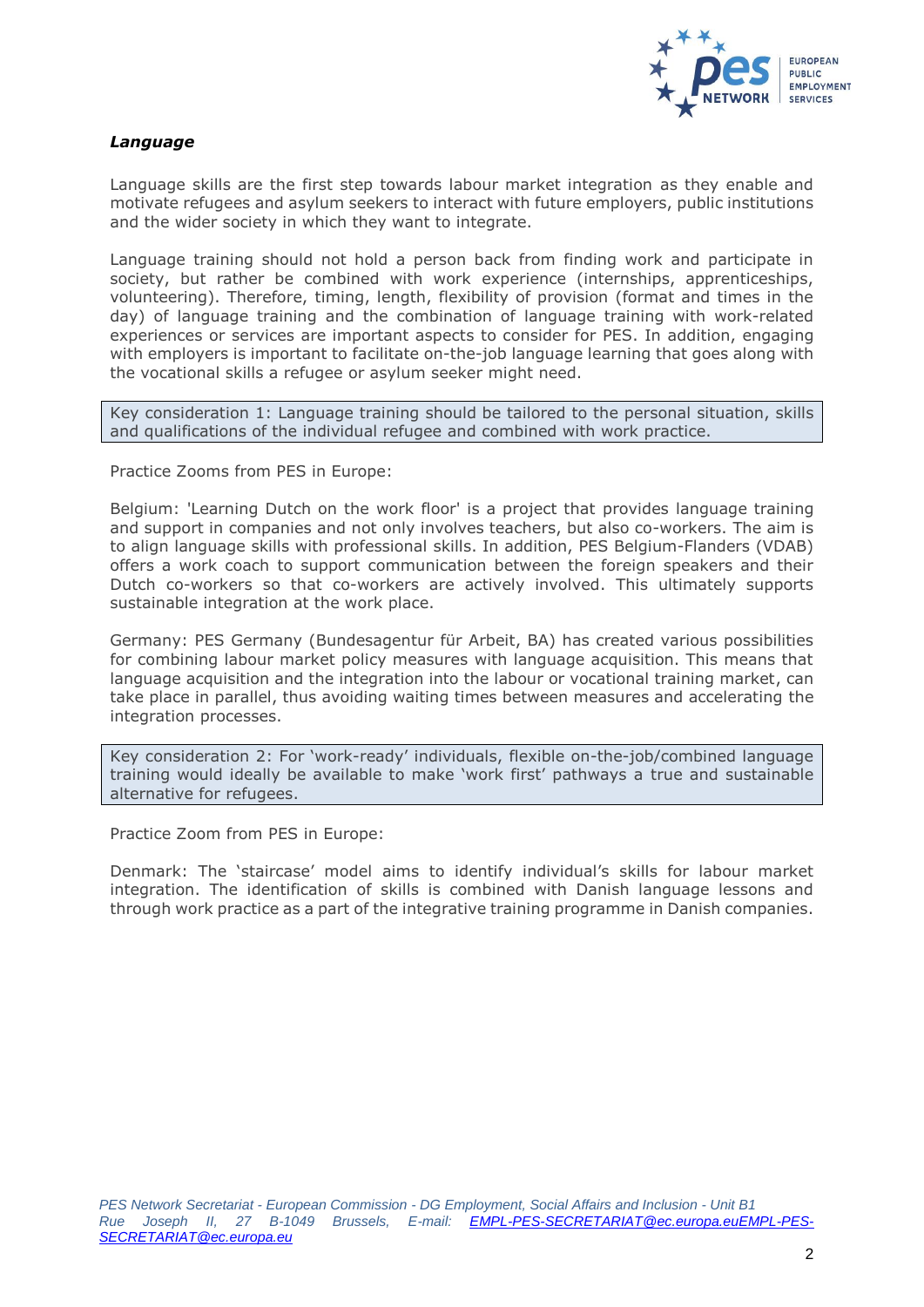

### *Language*

Language skills are the first step towards labour market integration as they enable and motivate refugees and asylum seekers to interact with future employers, public institutions and the wider society in which they want to integrate.

Language training should not hold a person back from finding work and participate in society, but rather be combined with work experience (internships, apprenticeships, volunteering). Therefore, timing, length, flexibility of provision (format and times in the day) of language training and the combination of language training with work-related experiences or services are important aspects to consider for PES. In addition, engaging with employers is important to facilitate on-the-job language learning that goes along with the vocational skills a refugee or asylum seeker might need.

Key consideration 1: Language training should be tailored to the personal situation, skills and qualifications of the individual refugee and combined with work practice.

Practice Zooms from PES in Europe:

Belgium: 'Learning Dutch on the work floor' is a project that provides language training and support in companies and not only involves teachers, but also co-workers. The aim is to align language skills with professional skills. In addition, PES Belgium-Flanders (VDAB) offers a work coach to support communication between the foreign speakers and their Dutch co-workers so that co-workers are actively involved. This ultimately supports sustainable integration at the work place.

Germany: PES Germany (Bundesagentur für Arbeit, BA) has created various possibilities for combining labour market policy measures with language acquisition. This means that language acquisition and the integration into the labour or vocational training market, can take place in parallel, thus avoiding waiting times between measures and accelerating the integration processes.

Key consideration 2: For 'work-ready' individuals, flexible on-the-job/combined language training would ideally be available to make 'work first' pathways a true and sustainable alternative for refugees.

Practice Zoom from PES in Europe:

Denmark: The 'staircase' model aims to identify individual's skills for labour market integration. The identification of skills is combined with Danish language lessons and through work practice as a part of the integrative training programme in Danish companies.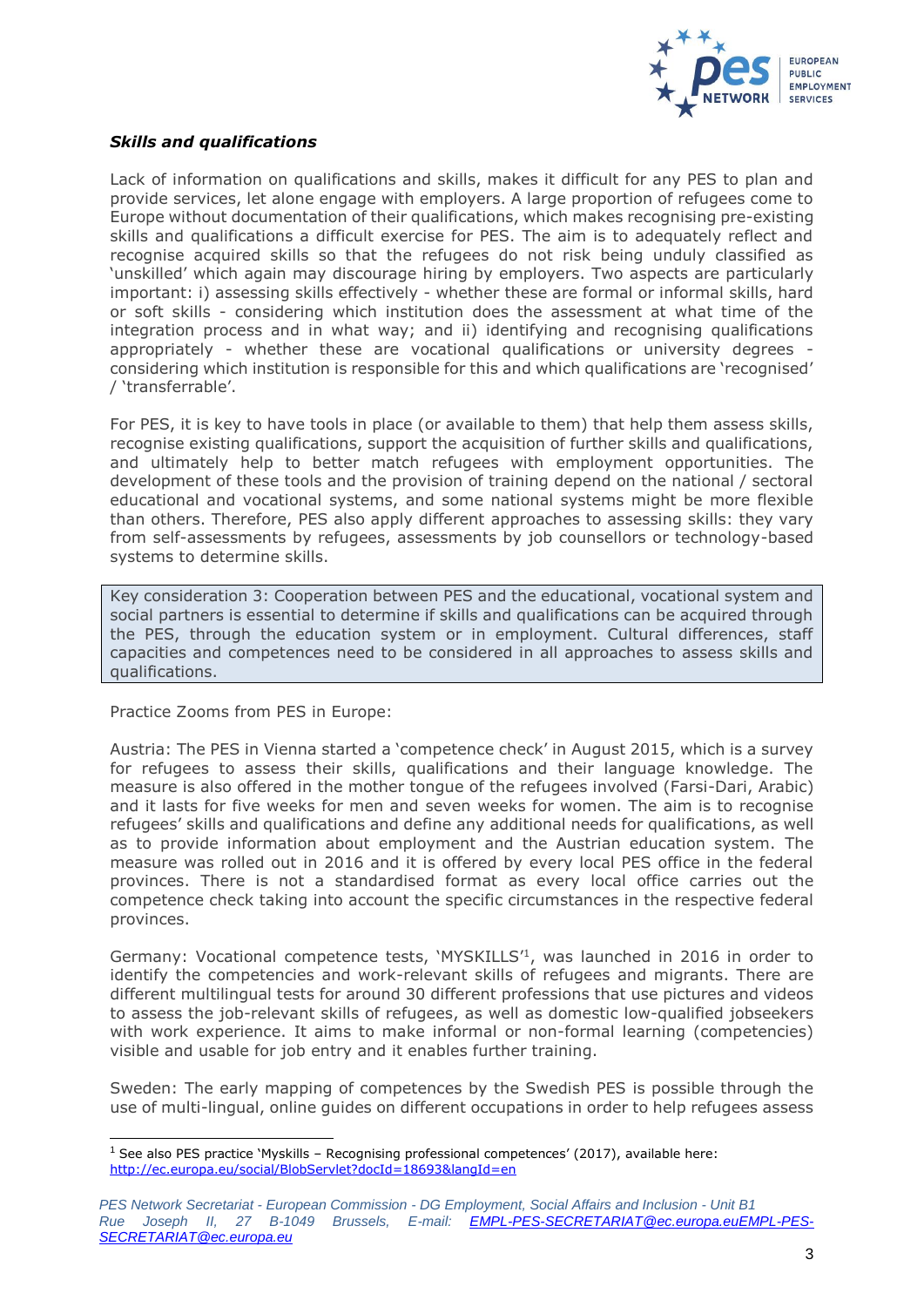

#### *Skills and qualifications*

Lack of information on qualifications and skills, makes it difficult for any PES to plan and provide services, let alone engage with employers. A large proportion of refugees come to Europe without documentation of their qualifications, which makes recognising pre-existing skills and qualifications a difficult exercise for PES. The aim is to adequately reflect and recognise acquired skills so that the refugees do not risk being unduly classified as 'unskilled' which again may discourage hiring by employers. Two aspects are particularly important: i) assessing skills effectively - whether these are formal or informal skills, hard or soft skills - considering which institution does the assessment at what time of the integration process and in what way; and ii) identifying and recognising qualifications appropriately - whether these are vocational qualifications or university degrees considering which institution is responsible for this and which qualifications are 'recognised' / 'transferrable'.

For PES, it is key to have tools in place (or available to them) that help them assess skills, recognise existing qualifications, support the acquisition of further skills and qualifications, and ultimately help to better match refugees with employment opportunities. The development of these tools and the provision of training depend on the national / sectoral educational and vocational systems, and some national systems might be more flexible than others. Therefore, PES also apply different approaches to assessing skills: they vary from self-assessments by refugees, assessments by job counsellors or technology-based systems to determine skills.

Key consideration 3: Cooperation between PES and the educational, vocational system and social partners is essential to determine if skills and qualifications can be acquired through the PES, through the education system or in employment. Cultural differences, staff capacities and competences need to be considered in all approaches to assess skills and qualifications.

Practice Zooms from PES in Europe:

l

Austria: The PES in Vienna started a 'competence check' in August 2015, which is a survey for refugees to assess their skills, qualifications and their language knowledge. The measure is also offered in the mother tongue of the refugees involved (Farsi-Dari, Arabic) and it lasts for five weeks for men and seven weeks for women. The aim is to recognise refugees' skills and qualifications and define any additional needs for qualifications, as well as to provide information about employment and the Austrian education system. The measure was rolled out in 2016 and it is offered by every local PES office in the federal provinces. There is not a standardised format as every local office carries out the competence check taking into account the specific circumstances in the respective federal provinces.

Germany: Vocational competence tests, 'MYSKILLS'<sup>1</sup>, was launched in 2016 in order to identify the competencies and work-relevant skills of refugees and migrants. There are different multilingual tests for around 30 different professions that use pictures and videos to assess the job-relevant skills of refugees, as well as domestic low-qualified jobseekers with work experience. It aims to make informal or non-formal learning (competencies) visible and usable for job entry and it enables further training.

Sweden: The early mapping of competences by the Swedish PES is possible through the use of multi-lingual, online guides on different occupations in order to help refugees assess

<sup>1</sup> See also PES practice 'Myskills – Recognising professional competences' (2017), available here: <http://ec.europa.eu/social/BlobServlet?docId=18693&langId=en>

*PES Network Secretariat - European Commission - DG Employment, Social Affairs and Inclusion - Unit B1 Rue Joseph II, 27 B-1049 Brussels, E-mail: [EMPL-PES-SECRETARIAT@ec.europa.euEMPL-PES-](mailto:EMPL-PES-SECRETARIAT@ec.europa.eu)[SECRETARIAT@ec.europa.eu](mailto:EMPL-PES-SECRETARIAT@ec.europa.eu)*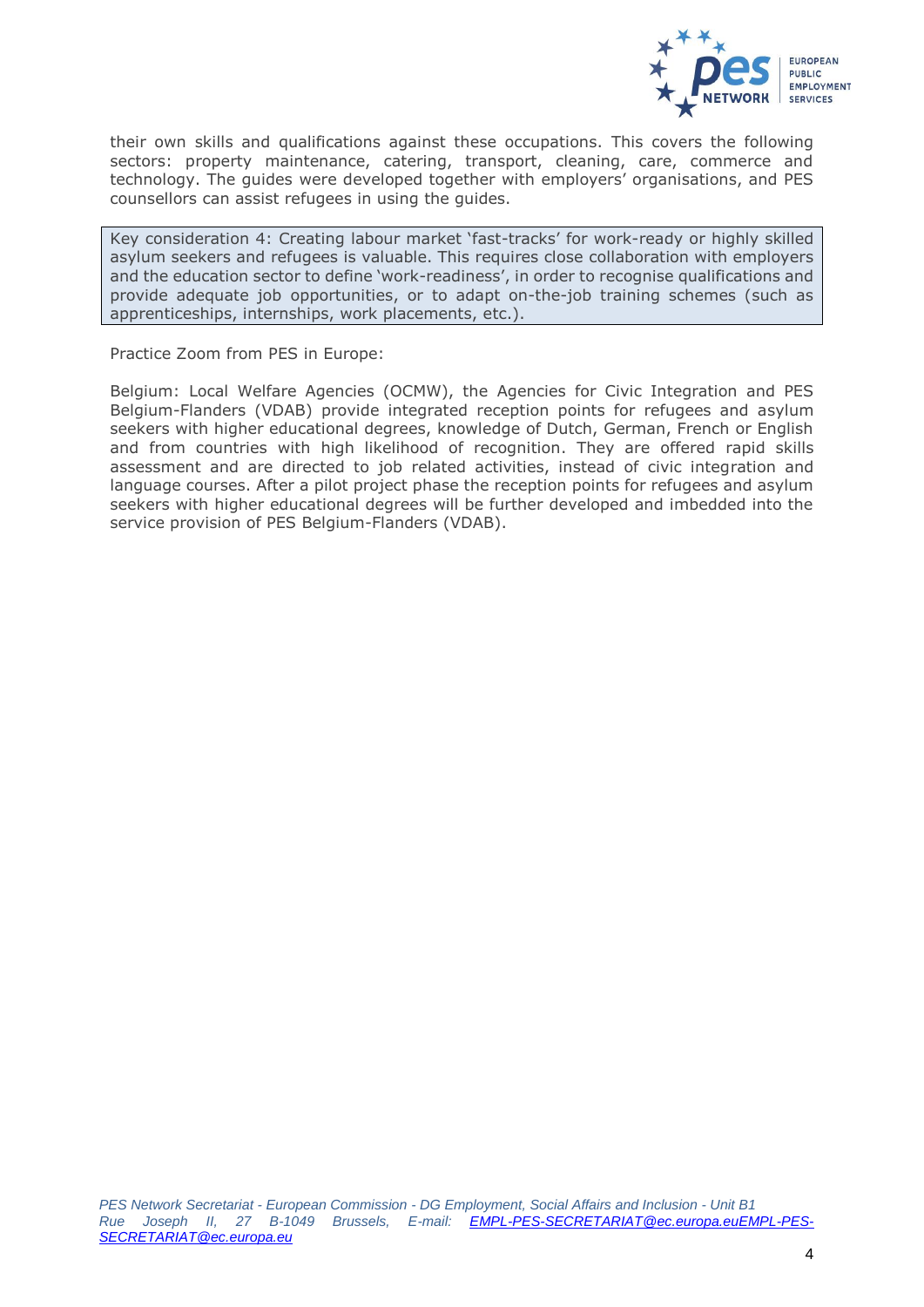

their own skills and qualifications against these occupations. This covers the following sectors: property maintenance, catering, transport, cleaning, care, commerce and technology. The guides were developed together with employers' organisations, and PES counsellors can assist refugees in using the guides.

Key consideration 4: Creating labour market 'fast-tracks' for work-ready or highly skilled asylum seekers and refugees is valuable. This requires close collaboration with employers and the education sector to define 'work-readiness', in order to recognise qualifications and provide adequate job opportunities, or to adapt on-the-job training schemes (such as apprenticeships, internships, work placements, etc.).

Practice Zoom from PES in Europe:

Belgium: Local Welfare Agencies (OCMW), the Agencies for Civic Integration and PES Belgium-Flanders (VDAB) provide integrated reception points for refugees and asylum seekers with higher educational degrees, knowledge of Dutch, German, French or English and from countries with high likelihood of recognition. They are offered rapid skills assessment and are directed to job related activities, instead of civic integration and language courses. After a pilot project phase the reception points for refugees and asylum seekers with higher educational degrees will be further developed and imbedded into the service provision of PES Belgium-Flanders (VDAB).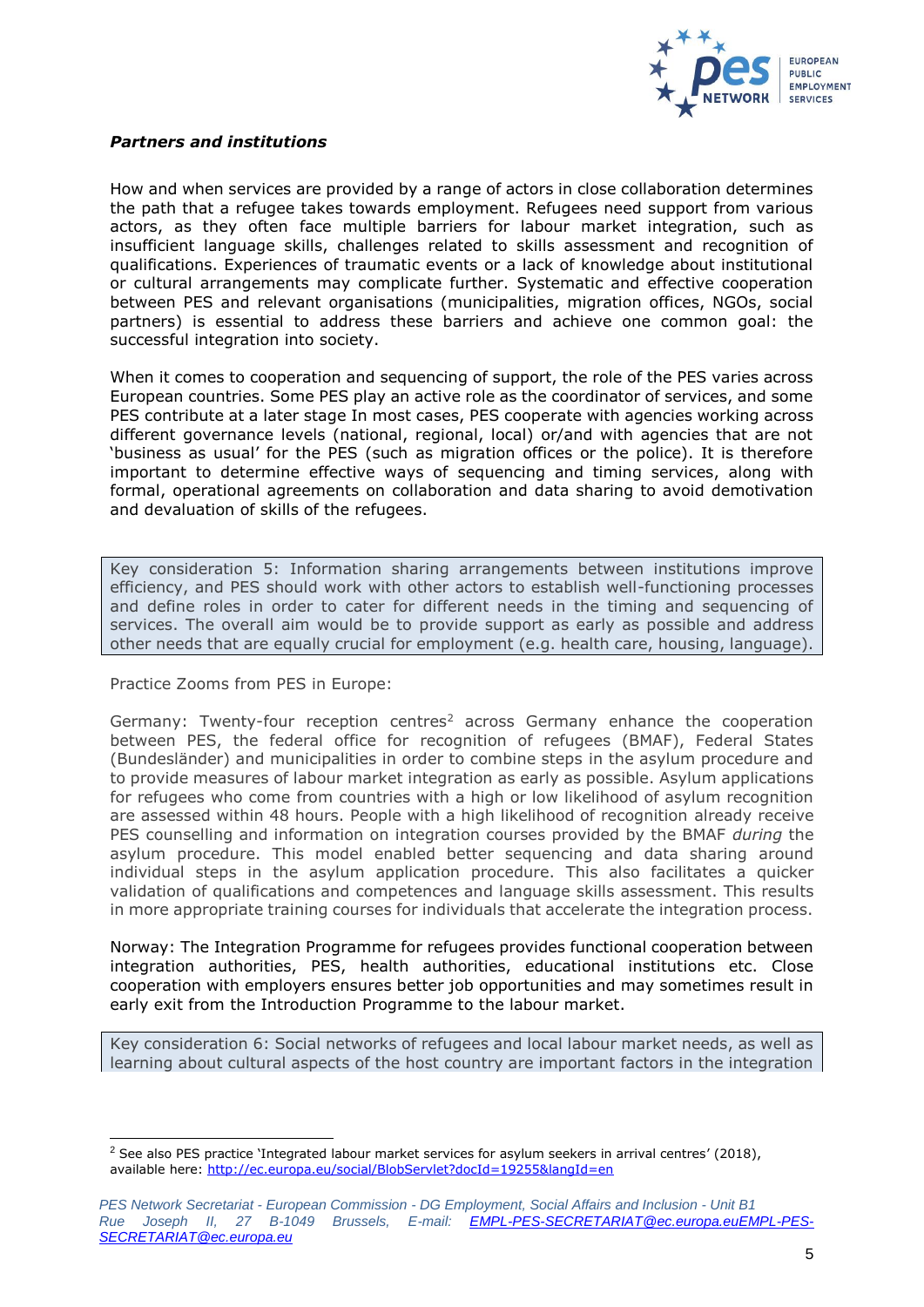

#### *Partners and institutions*

How and when services are provided by a range of actors in close collaboration determines the path that a refugee takes towards employment. Refugees need support from various actors, as they often face multiple barriers for labour market integration, such as insufficient language skills, challenges related to skills assessment and recognition of qualifications. Experiences of traumatic events or a lack of knowledge about institutional or cultural arrangements may complicate further. Systematic and effective cooperation between PES and relevant organisations (municipalities, migration offices, NGOs, social partners) is essential to address these barriers and achieve one common goal: the successful integration into society.

When it comes to cooperation and sequencing of support, the role of the PES varies across European countries. Some PES play an active role as the coordinator of services, and some PES contribute at a later stage In most cases, PES cooperate with agencies working across different governance levels (national, regional, local) or/and with agencies that are not 'business as usual' for the PES (such as migration offices or the police). It is therefore important to determine effective ways of sequencing and timing services, along with formal, operational agreements on collaboration and data sharing to avoid demotivation and devaluation of skills of the refugees.

Key consideration 5: Information sharing arrangements between institutions improve efficiency, and PES should work with other actors to establish well-functioning processes and define roles in order to cater for different needs in the timing and sequencing of services. The overall aim would be to provide support as early as possible and address other needs that are equally crucial for employment (e.g. health care, housing, language).

Practice Zooms from PES in Europe:

l

Germany: Twenty-four reception centres<sup>2</sup> across Germany enhance the cooperation between PES, the federal office for recognition of refugees (BMAF), Federal States (Bundesländer) and municipalities in order to combine steps in the asylum procedure and to provide measures of labour market integration as early as possible. Asylum applications for refugees who come from countries with a high or low likelihood of asylum recognition are assessed within 48 hours. People with a high likelihood of recognition already receive PES counselling and information on integration courses provided by the BMAF *during* the asylum procedure. This model enabled better sequencing and data sharing around individual steps in the asylum application procedure. This also facilitates a quicker validation of qualifications and competences and language skills assessment. This results in more appropriate training courses for individuals that accelerate the integration process.

Norway: The Integration Programme for refugees provides functional cooperation between integration authorities, PES, health authorities, educational institutions etc. Close cooperation with employers ensures better job opportunities and may sometimes result in early exit from the Introduction Programme to the labour market.

Key consideration 6: Social networks of refugees and local labour market needs, as well as learning about cultural aspects of the host country are important factors in the integration

<sup>&</sup>lt;sup>2</sup> See also PES practice 'Integrated labour market services for asylum seekers in arrival centres' (2018), available here:<http://ec.europa.eu/social/BlobServlet?docId=19255&langId=en>

*PES Network Secretariat - European Commission - DG Employment, Social Affairs and Inclusion - Unit B1 Rue Joseph II, 27 B-1049 Brussels, E-mail: [EMPL-PES-SECRETARIAT@ec.europa.euEMPL-PES-](mailto:EMPL-PES-SECRETARIAT@ec.europa.eu)[SECRETARIAT@ec.europa.eu](mailto:EMPL-PES-SECRETARIAT@ec.europa.eu)*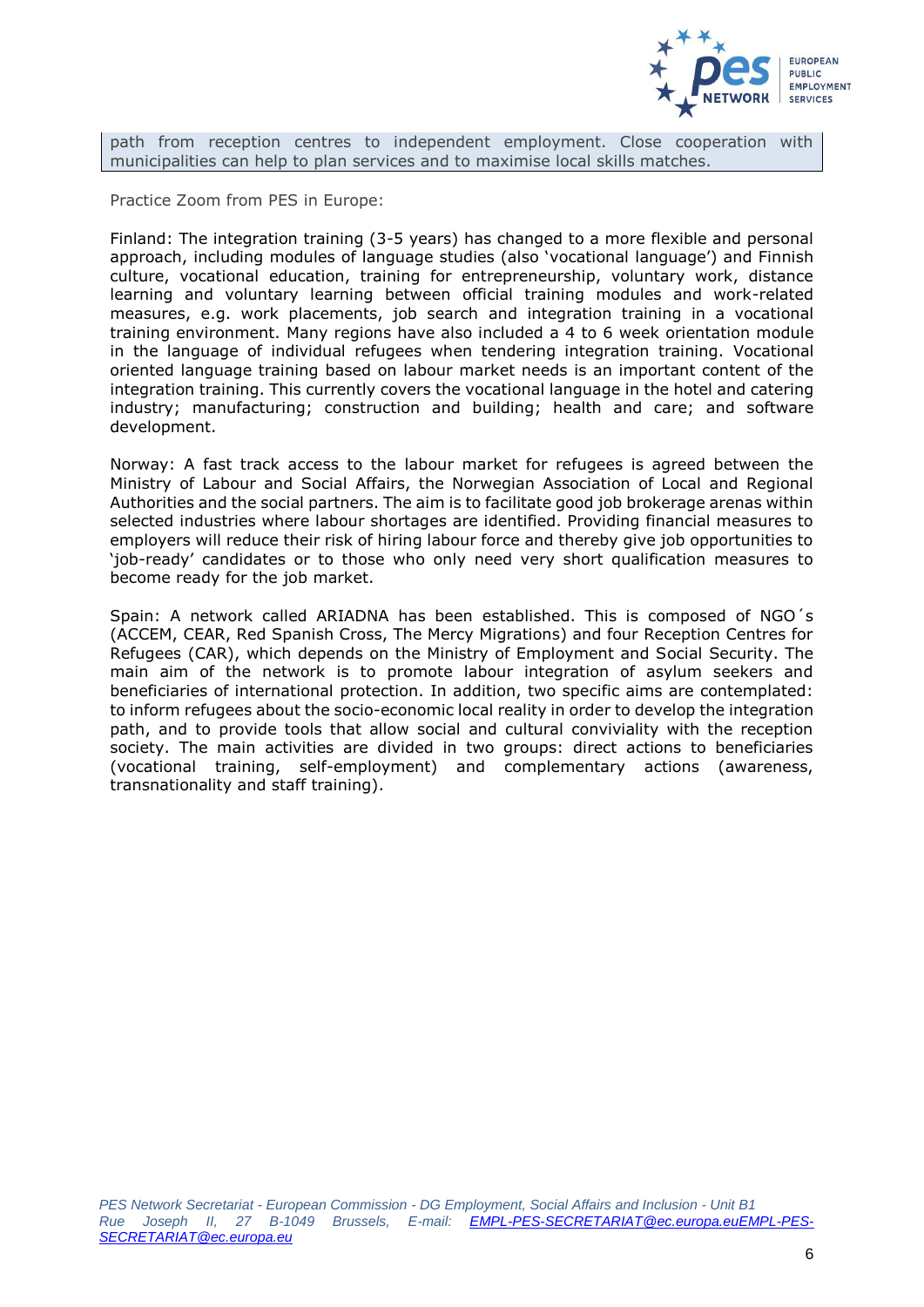

path from reception centres to independent employment. Close cooperation with municipalities can help to plan services and to maximise local skills matches.

Practice Zoom from PES in Europe:

Finland: The integration training (3-5 years) has changed to a more flexible and personal approach, including modules of language studies (also 'vocational language') and Finnish culture, vocational education, training for entrepreneurship, voluntary work, distance learning and voluntary learning between official training modules and work-related measures, e.g. work placements, job search and integration training in a vocational training environment. Many regions have also included a 4 to 6 week orientation module in the language of individual refugees when tendering integration training. Vocational oriented language training based on labour market needs is an important content of the integration training. This currently covers the vocational language in the hotel and catering industry; manufacturing; construction and building; health and care; and software development.

Norway: A fast track access to the labour market for refugees is agreed between the Ministry of Labour and Social Affairs, the Norwegian Association of Local and Regional Authorities and the social partners. The aim is to facilitate good job brokerage arenas within selected industries where labour shortages are identified. Providing financial measures to employers will reduce their risk of hiring labour force and thereby give job opportunities to 'job-ready' candidates or to those who only need very short qualification measures to become ready for the job market.

Spain: A network called ARIADNA has been established. This is composed of NGO´s (ACCEM, CEAR, Red Spanish Cross, The Mercy Migrations) and four Reception Centres for Refugees (CAR), which depends on the Ministry of Employment and Social Security. The main aim of the network is to promote labour integration of asylum seekers and beneficiaries of international protection. In addition, two specific aims are contemplated: to inform refugees about the socio-economic local reality in order to develop the integration path, and to provide tools that allow social and cultural conviviality with the reception society. The main activities are divided in two groups: direct actions to beneficiaries (vocational training, self-employment) and complementary actions (awareness, transnationality and staff training).